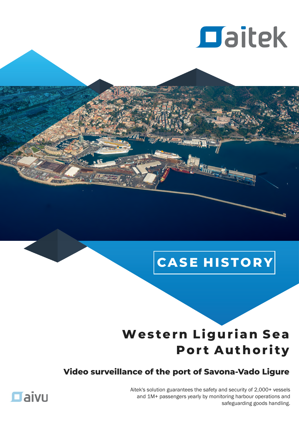

# $|{\color{red}\mathsf{CASE}}\;{\color{blue}\mathsf{HISTORY}}|$

## Western Ligurian Sea **Port Authority**

## Video surveillance of the port of Savona-Vado Ligure

Aitek's solution guarantees the safety and security of 2,000+ vessels and 1M+ passengers yearly by monitoring harbour operations and safeguarding goods handling.